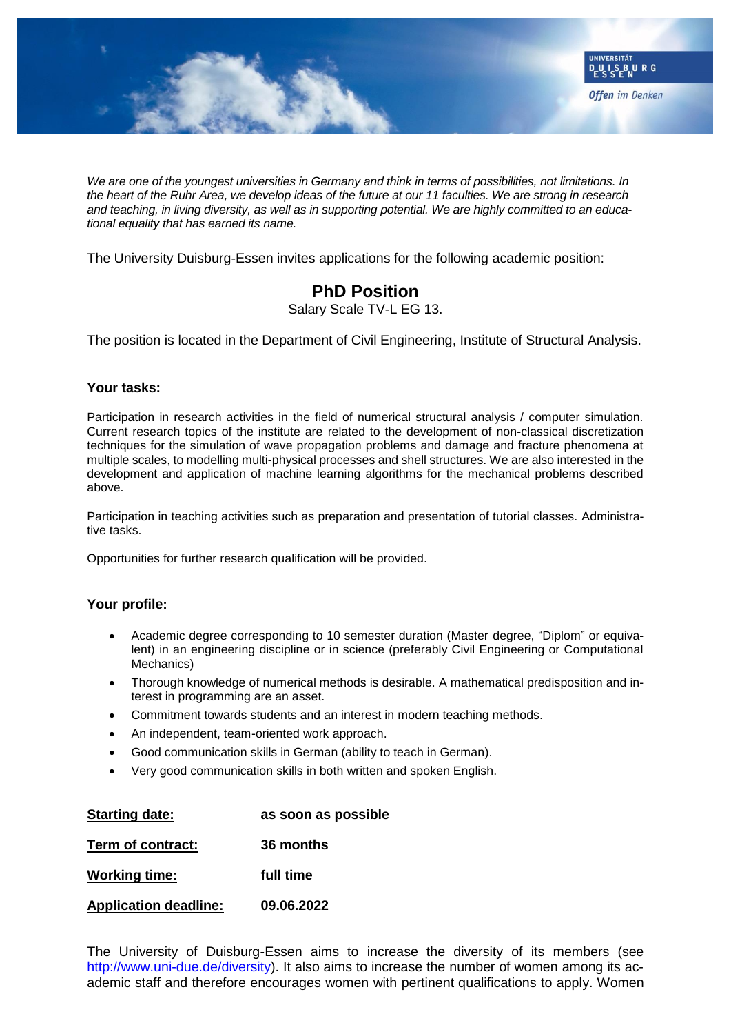

*We are one of the youngest universities in Germany and think in terms of possibilities, not limitations. In the heart of the Ruhr Area, we develop ideas of the future at our 11 faculties. We are strong in research and teaching, in living diversity, as well as in supporting potential. We are highly committed to an educational equality that has earned its name.*

The University Duisburg-Essen invites applications for the following academic position:

## **PhD Position**

Salary Scale TV-L EG 13.

The position is located in the Department of Civil Engineering, Institute of Structural Analysis.

## **Your tasks:**

Participation in research activities in the field of numerical structural analysis / computer simulation. Current research topics of the institute are related to the development of non-classical discretization techniques for the simulation of wave propagation problems and damage and fracture phenomena at multiple scales, to modelling multi-physical processes and shell structures. We are also interested in the development and application of machine learning algorithms for the mechanical problems described above.

Participation in teaching activities such as preparation and presentation of tutorial classes. Administrative tasks.

Opportunities for further research qualification will be provided.

## **Your profile:**

- Academic degree corresponding to 10 semester duration (Master degree, "Diplom" or equivalent) in an engineering discipline or in science (preferably Civil Engineering or Computational Mechanics)
- Thorough knowledge of numerical methods is desirable. A mathematical predisposition and interest in programming are an asset.
- Commitment towards students and an interest in modern teaching methods.
- An independent, team-oriented work approach.
- Good communication skills in German (ability to teach in German).
- Very good communication skills in both written and spoken English.

| <b>Starting date:</b>        | as soon as possible |
|------------------------------|---------------------|
| Term of contract:            | 36 months           |
| <b>Working time:</b>         | full time           |
| <b>Application deadline:</b> | 09.06.2022          |

The University of Duisburg-Essen aims to increase the diversity of its members (see http://www.uni-due.de/diversity). It also aims to increase the number of women among its academic staff and therefore encourages women with pertinent qualifications to apply. Women